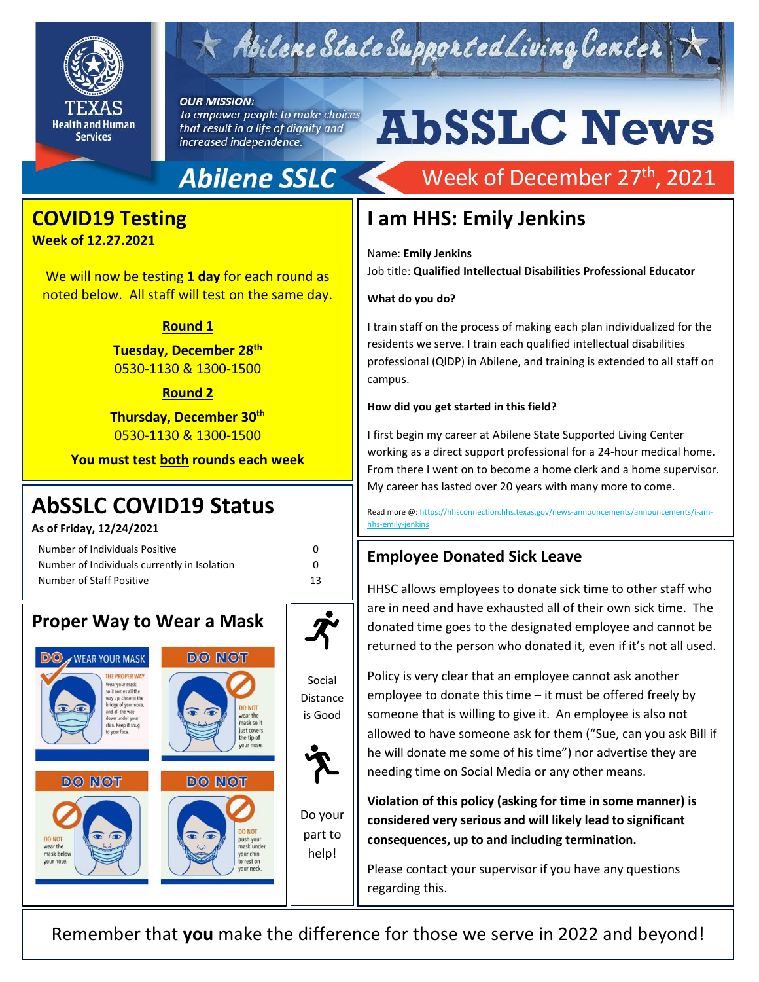

# $\star$  Abilene State Supported Living Center

#### **OUR MISSION:**

To empower people to make choices that result in a life of dignity and increased independence.

# **AbSSLC News**

# **Abilene SSLC**

## **COVID19 Testing**

**Week of 12.27.2021**

We will now be testing **1 day** for each round as noted below. All staff will test on the same day.

#### **Round 1**

**Tuesday, December 28th** 0530-1130 & 1300-1500

#### **Round 2**

**Thursday, December 30th** 0530-1130 & 1300-1500

**You must test both rounds each week**

## **AbSSLC COVID19 Status**

**As of Friday, 12/24/2021**

Number of Individuals Positive 0 Number of Individuals currently in Isolation 0 Number of Staff Positive

| 0  |  |
|----|--|
| 0  |  |
| 13 |  |

## **Proper Way to Wear a Mask**



# Week of December 27<sup>th</sup>, 2021

## **I am HHS: Emily Jenkins**

Name: **Emily Jenkins** Job title: **Qualified Intellectual Disabilities Professional Educator**

#### **What do you do?**

I train staff on the process of making each plan individualized for the residents we serve. I train each qualified intellectual disabilities professional (QIDP) in Abilene, and training is extended to all staff on campus.

#### **How did you get started in this field?**

 $e.$ I first begin my career at Abilene State Supported Living Center working as a direct support professional for a 24-hour medical home. From there I went on to become a home clerk and a home supervisor. My career has lasted over 20 years with many more to come.

Read more @[: https://hhsconnection.hhs.texas.gov/news-announcements/announcements/i-am](https://hhsconnection.hhs.texas.gov/news-announcements/announcements/i-am-hhs-emily-jenkins)[hhs-emily-jenkins](https://hhsconnection.hhs.texas.gov/news-announcements/announcements/i-am-hhs-emily-jenkins)

### **Employee Donated Sick Leave**

HHSC allows employees to donate sick time to other staff who are in need and have exhausted all of their own sick time. The donated time goes to the designated employee and cannot be returned to the person who donated it, even if it's not all used.

Policy is very clear that an employee cannot ask another employee to donate this time – it must be offered freely by someone that is willing to give it. An employee is also not allowed to have someone ask for them ("Sue, can you ask Bill if he will donate me some of his time") nor advertise they are needing time on Social Media or any other means.

**Violation of this policy (asking for time in some manner) is considered very serious and will likely lead to significant consequences, up to and including termination.** 

Please contact your supervisor if you have any questions regarding this.

Remember that **you** make the difference for those we serve in 2022 and beyond!